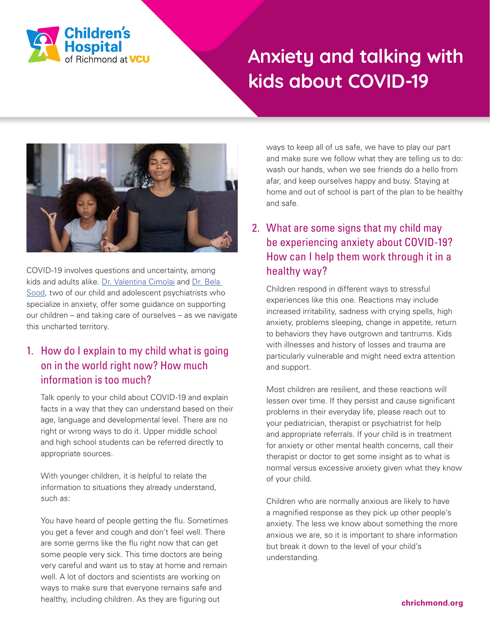

# **Anxiety and talking with kids about COVID-19**



COVID-19 involves questions and uncertainty, among kids and adults alike. [Dr. Valentina Cimolai](http://Dr. Valentina Cimolai) and [Dr. Bela](http://Dr. Bela Sood)  [Sood](http://Dr. Bela Sood), two of our child and adolescent psychiatrists who specialize in anxiety, offer some guidance on supporting our children – and taking care of ourselves – as we navigate this uncharted territory.

## 1. How do I explain to my child what is going on in the world right now? How much information is too much?

Talk openly to your child about COVID-19 and explain facts in a way that they can understand based on their age, language and developmental level. There are no right or wrong ways to do it. Upper middle school and high school students can be referred directly to appropriate sources.

With younger children, it is helpful to relate the information to situations they already understand, such as:

You have heard of people getting the flu. Sometimes you get a fever and cough and don't feel well. There are some germs like the flu right now that can get some people very sick. This time doctors are being very careful and want us to stay at home and remain well. A lot of doctors and scientists are working on ways to make sure that everyone remains safe and healthy, including children. As they are figuring out

ways to keep all of us safe, we have to play our part and make sure we follow what they are telling us to do: wash our hands, when we see friends do a hello from afar, and keep ourselves happy and busy. Staying at home and out of school is part of the plan to be healthy and safe.

# 2. What are some signs that my child may be experiencing anxiety about COVID-19? How can I help them work through it in a healthy way?

Children respond in different ways to stressful experiences like this one. Reactions may include increased irritability, sadness with crying spells, high anxiety, problems sleeping, change in appetite, return to behaviors they have outgrown and tantrums. Kids with illnesses and history of losses and trauma are particularly vulnerable and might need extra attention and support.

Most children are resilient, and these reactions will lessen over time. If they persist and cause significant problems in their everyday life, please reach out to your pediatrician, therapist or psychiatrist for help and appropriate referrals. If your child is in treatment for anxiety or other mental health concerns, call their therapist or doctor to get some insight as to what is normal versus excessive anxiety given what they know of your child.

Children who are normally anxious are likely to have a magnified response as they pick up other people's anxiety. The less we know about something the more anxious we are, so it is important to share information but break it down to the level of your child's understanding.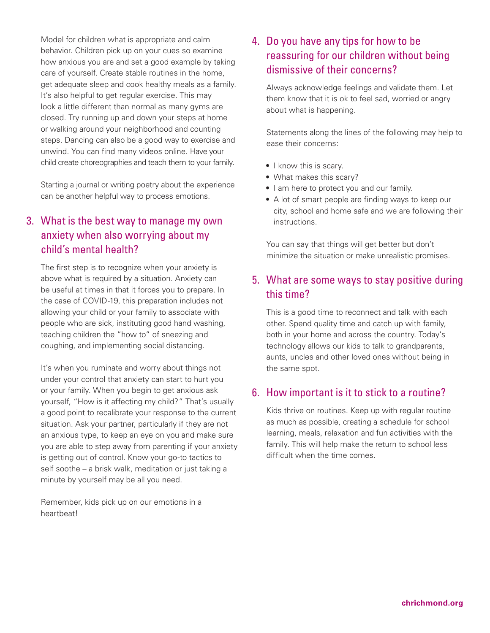Model for children what is appropriate and calm behavior. Children pick up on your cues so examine how anxious you are and set a good example by taking care of yourself. Create stable routines in the home, get adequate sleep and cook healthy meals as a family. It's also helpful to get regular exercise. This may look a little different than normal as many gyms are closed. Try running up and down your steps at home or walking around your neighborhood and counting steps. Dancing can also be a good way to exercise and unwind. You can find many videos online. Have your child create choreographies and teach them to your family.

Starting a journal or writing poetry about the experience can be another helpful way to process emotions.

## 3. What is the best way to manage my own anxiety when also worrying about my child's mental health?

The first step is to recognize when your anxiety is above what is required by a situation. Anxiety can be useful at times in that it forces you to prepare. In the case of COVID-19, this preparation includes not allowing your child or your family to associate with people who are sick, instituting good hand washing, teaching children the "how to" of sneezing and coughing, and implementing social distancing.

It's when you ruminate and worry about things not under your control that anxiety can start to hurt you or your family. When you begin to get anxious ask yourself, "How is it affecting my child?" That's usually a good point to recalibrate your response to the current situation. Ask your partner, particularly if they are not an anxious type, to keep an eye on you and make sure you are able to step away from parenting if your anxiety is getting out of control. Know your go-to tactics to self soothe – a brisk walk, meditation or just taking a minute by yourself may be all you need.

Remember, kids pick up on our emotions in a heartbeat!

## 4. Do you have any tips for how to be reassuring for our children without being dismissive of their concerns?

Always acknowledge feelings and validate them. Let them know that it is ok to feel sad, worried or angry about what is happening.

Statements along the lines of the following may help to ease their concerns:

- I know this is scary.
- What makes this scary?
- I am here to protect you and our family.
- A lot of smart people are finding ways to keep our city, school and home safe and we are following their instructions.

You can say that things will get better but don't minimize the situation or make unrealistic promises.

### 5. What are some ways to stay positive during this time?

This is a good time to reconnect and talk with each other. Spend quality time and catch up with family, both in your home and across the country. Today's technology allows our kids to talk to grandparents, aunts, uncles and other loved ones without being in the same spot.

#### 6. How important is it to stick to a routine?

Kids thrive on routines. Keep up with regular routine as much as possible, creating a schedule for school learning, meals, relaxation and fun activities with the family. This will help make the return to school less difficult when the time comes.